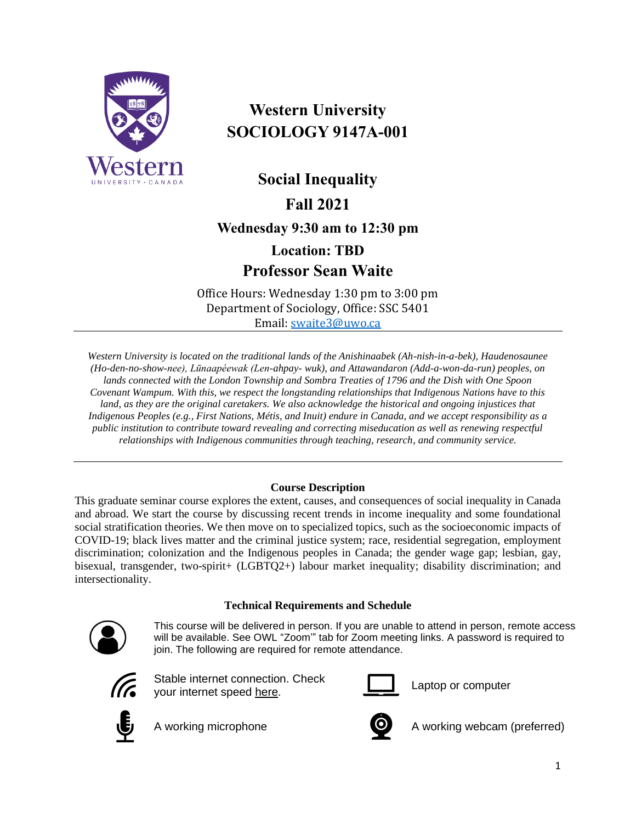

# **Western University SOCIOLOGY 9147A-001**

**Social Inequality Fall 2021**

**Wednesday 9:30 am to 12:30 pm**

**Location: TBD Professor Sean Waite**

Office Hours: Wednesday 1:30 pm to 3:00 pm Department of Sociology, Office: SSC 5401 Email: [swaite3@uwo.ca](mailto:swaite3@uwo.ca)

*Western University is located on the traditional lands of the Anishinaabek (Ah-nish-in-a-bek), Haudenosaunee (Ho-den-no-show-nee), Lūnaapéewak (Len-ahpay- wuk), and Attawandaron (Add-a-won-da-run) peoples, on lands connected with the London Township and Sombra Treaties of 1796 and the Dish with One Spoon Covenant Wampum. With this, we respect the longstanding relationships that Indigenous Nations have to this land, as they are the original caretakers. We also acknowledge the historical and ongoing injustices that Indigenous Peoples (e.g., First Nations, Métis, and Inuit) endure in Canada, and we accept responsibility as a public institution to contribute toward revealing and correcting miseducation as well as renewing respectful relationships with Indigenous communities through teaching, research, and community service.*

# **Course Description**

This graduate seminar course explores the extent, causes, and consequences of social inequality in Canada and abroad. We start the course by discussing recent trends in income inequality and some foundational social stratification theories. We then move on to specialized topics, such as the socioeconomic impacts of COVID-19; black lives matter and the criminal justice system; race, residential segregation, employment discrimination; colonization and the Indigenous peoples in Canada; the gender wage gap; lesbian, gay, bisexual, transgender, two-spirit+ (LGBTQ2+) labour market inequality; disability discrimination; and intersectionality.

# **Technical Requirements and Schedule**



This course will be delivered in person. If you are unable to attend in person, remote access will be available. See OWL "Zoom'" tab for Zoom meeting links. A password is required to join. The following are required for remote attendance.



Stable internet connection. Check your internet speed [here.](https://www.google.com/search?q=internet+speed+test+google&rlz=1C5CHFA_enCA702CA702&oq=internet+speed+test+google&aqs=chrome..69i57j0l7.3608j0j4&sourceid=chrome&ie=UTF-8)



Laptop or computer





A working microphone **A** working webcam (preferred)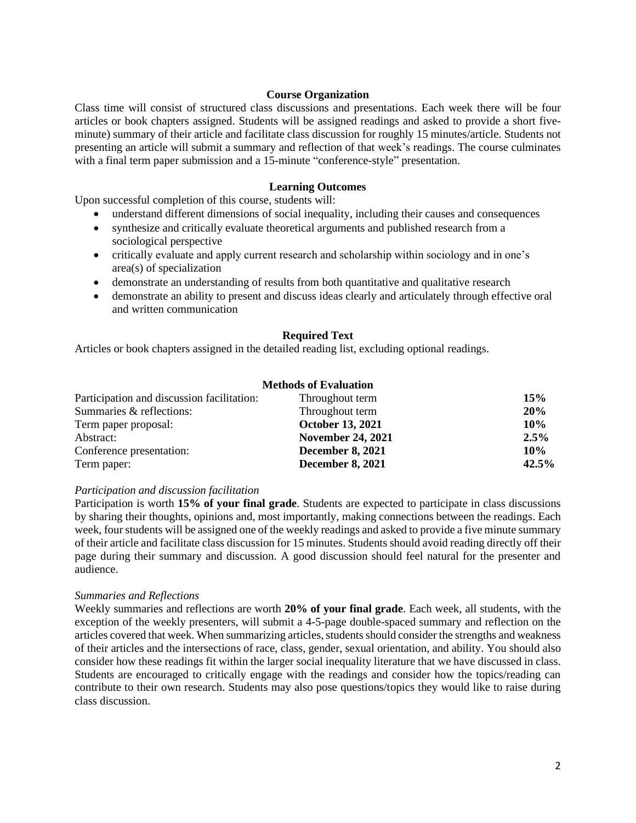#### **Course Organization**

Class time will consist of structured class discussions and presentations. Each week there will be four articles or book chapters assigned. Students will be assigned readings and asked to provide a short fiveminute) summary of their article and facilitate class discussion for roughly 15 minutes/article. Students not presenting an article will submit a summary and reflection of that week's readings. The course culminates with a final term paper submission and a 15-minute "conference-style" presentation.

#### **Learning Outcomes**

Upon successful completion of this course, students will:

- understand different dimensions of social inequality, including their causes and consequences
- synthesize and critically evaluate theoretical arguments and published research from a sociological perspective
- critically evaluate and apply current research and scholarship within sociology and in one's area(s) of specialization
- demonstrate an understanding of results from both quantitative and qualitative research
- demonstrate an ability to present and discuss ideas clearly and articulately through effective oral and written communication

#### **Required Text**

Articles or book chapters assigned in the detailed reading list, excluding optional readings.

#### **Methods of Evaluation**

| Participation and discussion facilitation: | Throughout term          | 15%   |
|--------------------------------------------|--------------------------|-------|
| Summaries & reflections:                   | Throughout term          | 20%   |
| Term paper proposal:                       | <b>October 13, 2021</b>  | 10%   |
| Abstract:                                  | <b>November 24, 2021</b> | 2.5%  |
| Conference presentation:                   | <b>December 8, 2021</b>  | 10%   |
| Term paper:                                | <b>December 8, 2021</b>  | 42.5% |

#### *Participation and discussion facilitation*

Participation is worth **15% of your final grade**. Students are expected to participate in class discussions by sharing their thoughts, opinions and, most importantly, making connections between the readings. Each week, four students will be assigned one of the weekly readings and asked to provide a five minute summary of their article and facilitate class discussion for 15 minutes. Students should avoid reading directly off their page during their summary and discussion. A good discussion should feel natural for the presenter and audience.

#### *Summaries and Reflections*

Weekly summaries and reflections are worth **20% of your final grade**. Each week, all students, with the exception of the weekly presenters, will submit a 4-5-page double-spaced summary and reflection on the articles covered that week. When summarizing articles, students should consider the strengths and weakness of their articles and the intersections of race, class, gender, sexual orientation, and ability. You should also consider how these readings fit within the larger social inequality literature that we have discussed in class. Students are encouraged to critically engage with the readings and consider how the topics/reading can contribute to their own research. Students may also pose questions/topics they would like to raise during class discussion.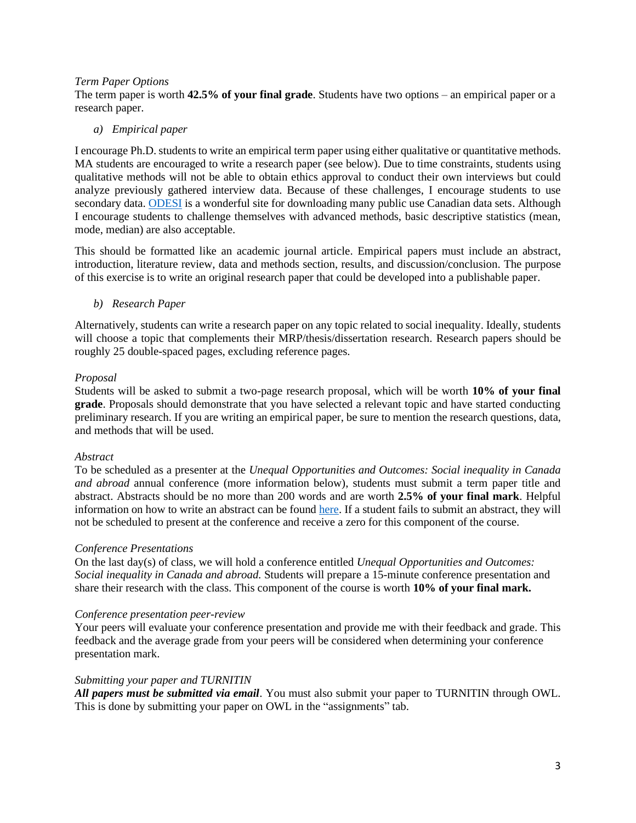#### *Term Paper Options*

The term paper is worth **42.5% of your final grade**. Students have two options – an empirical paper or a research paper.

#### *a) Empirical paper*

I encourage Ph.D. students to write an empirical term paper using either qualitative or quantitative methods. MA students are encouraged to write a research paper (see below). Due to time constraints, students using qualitative methods will not be able to obtain ethics approval to conduct their own interviews but could analyze previously gathered interview data. Because of these challenges, I encourage students to use secondary data. [ODESI](https://search1.odesi.ca/#/) is a wonderful site for downloading many public use Canadian data sets. Although I encourage students to challenge themselves with advanced methods, basic descriptive statistics (mean, mode, median) are also acceptable.

This should be formatted like an academic journal article. Empirical papers must include an abstract, introduction, literature review, data and methods section, results, and discussion/conclusion. The purpose of this exercise is to write an original research paper that could be developed into a publishable paper.

#### *b) Research Paper*

Alternatively, students can write a research paper on any topic related to social inequality. Ideally, students will choose a topic that complements their MRP/thesis/dissertation research. Research papers should be roughly 25 double-spaced pages, excluding reference pages.

# *Proposal*

Students will be asked to submit a two-page research proposal, which will be worth **10% of your final grade**. Proposals should demonstrate that you have selected a relevant topic and have started conducting preliminary research. If you are writing an empirical paper, be sure to mention the research questions, data, and methods that will be used.

#### *Abstract*

To be scheduled as a presenter at the *Unequal Opportunities and Outcomes: Social inequality in Canada and abroad* annual conference (more information below), students must submit a term paper title and abstract. Abstracts should be no more than 200 words and are worth **2.5% of your final mark**. Helpful information on how to write an abstract can be found [here.](https://users.ece.cmu.edu/~koopman/essays/abstract.html) If a student fails to submit an abstract, they will not be scheduled to present at the conference and receive a zero for this component of the course.

# *Conference Presentations*

On the last day(s) of class, we will hold a conference entitled *Unequal Opportunities and Outcomes: Social inequality in Canada and abroad.* Students will prepare a 15-minute conference presentation and share their research with the class. This component of the course is worth **10% of your final mark.**

#### *Conference presentation peer-review*

Your peers will evaluate your conference presentation and provide me with their feedback and grade. This feedback and the average grade from your peers will be considered when determining your conference presentation mark.

#### *Submitting your paper and TURNITIN*

*All papers must be submitted via email*. You must also submit your paper to TURNITIN through OWL. This is done by submitting your paper on OWL in the "assignments" tab.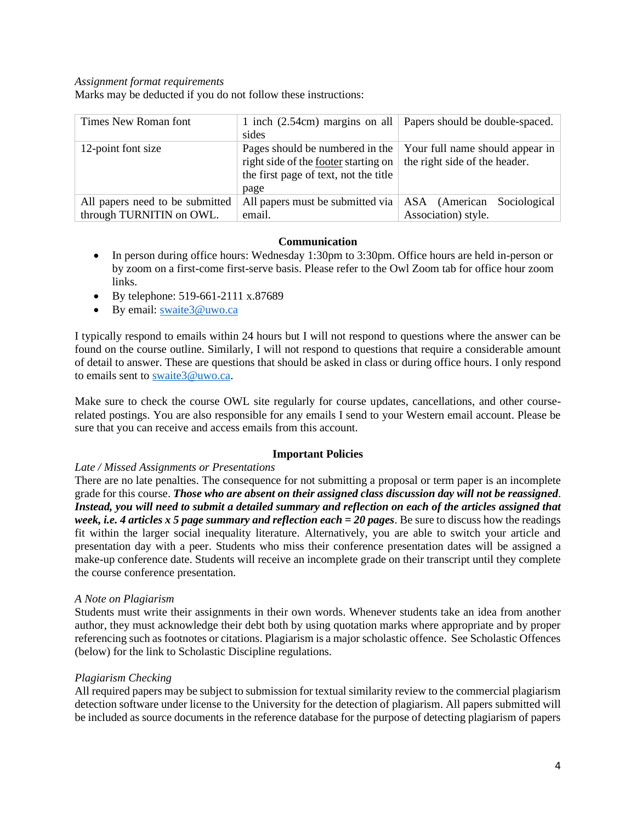#### *Assignment format requirements*

Marks may be deducted if you do not follow these instructions:

| Times New Roman font                                        | 1 inch $(2.54cm)$ margins on all<br>sides                                                                                       | Papers should be double-spaced.                                  |
|-------------------------------------------------------------|---------------------------------------------------------------------------------------------------------------------------------|------------------------------------------------------------------|
| 12-point font size                                          | Pages should be numbered in the<br>right side of the <u>footer</u> starting on<br>the first page of text, not the title<br>page | Your full name should appear in<br>the right side of the header. |
| All papers need to be submitted<br>through TURNITIN on OWL. | All papers must be submitted via $ $ ASA (American<br>email.                                                                    | Sociological<br>Association) style.                              |

#### **Communication**

- In person during office hours: Wednesday 1:30pm to 3:30pm. Office hours are held in-person or by zoom on a first-come first-serve basis. Please refer to the Owl Zoom tab for office hour zoom links.
- By telephone: 519-661-2111 x.87689
- By email: swaite3@uwo.ca

I typically respond to emails within 24 hours but I will not respond to questions where the answer can be found on the course outline. Similarly, I will not respond to questions that require a considerable amount of detail to answer. These are questions that should be asked in class or during office hours. I only respond to emails sent to [swaite3@uwo.ca.](mailto:swaite3@uwo.ca)

Make sure to check the course OWL site regularly for course updates, cancellations, and other courserelated postings. You are also responsible for any emails I send to your Western email account. Please be sure that you can receive and access emails from this account.

# **Important Policies**

# *Late / Missed Assignments or Presentations*

There are no late penalties. The consequence for not submitting a proposal or term paper is an incomplete grade for this course. *Those who are absent on their assigned class discussion day will not be reassigned*. *Instead, you will need to submit a detailed summary and reflection on each of the articles assigned that week, i.e. 4 articles x 5 page summary and reflection each = 20 pages*. Be sure to discuss how the readings fit within the larger social inequality literature. Alternatively, you are able to switch your article and presentation day with a peer. Students who miss their conference presentation dates will be assigned a make-up conference date. Students will receive an incomplete grade on their transcript until they complete the course conference presentation.

# *A Note on Plagiarism*

Students must write their assignments in their own words. Whenever students take an idea from another author, they must acknowledge their debt both by using quotation marks where appropriate and by proper referencing such as footnotes or citations. Plagiarism is a major scholastic offence. See Scholastic Offences (below) for the link to Scholastic Discipline regulations.

# *Plagiarism Checking*

All required papers may be subject to submission for textual similarity review to the commercial plagiarism detection software under license to the University for the detection of plagiarism. All papers submitted will be included as source documents in the reference database for the purpose of detecting plagiarism of papers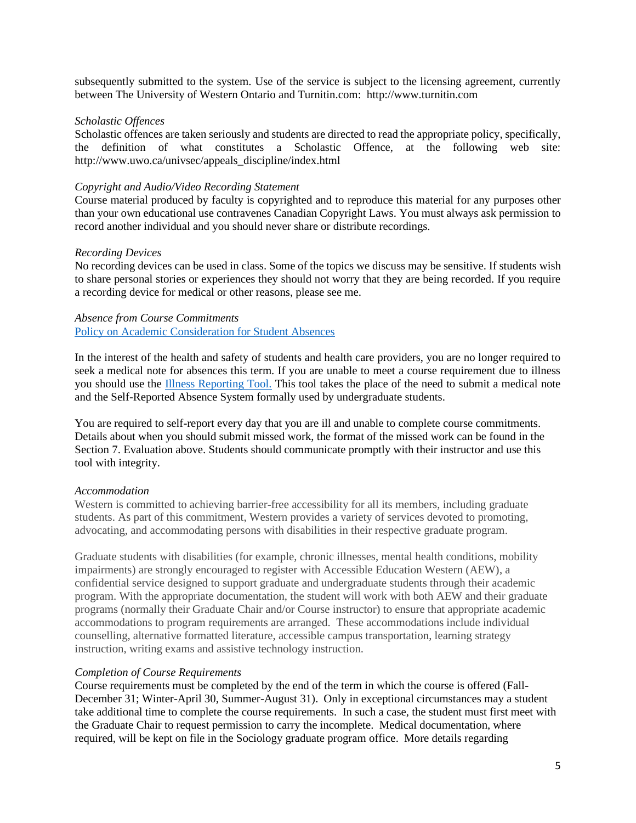subsequently submitted to the system. Use of the service is subject to the licensing agreement, currently between The University of Western Ontario and Turnitin.com: [http://www.turnitin.com](http://www.turnitin.com/)

#### *Scholastic Offences*

Scholastic offences are taken seriously and students are directed to read the appropriate policy, specifically, the definition of what constitutes a Scholastic Offence, at the following web site: [http://www.uwo.ca/univsec/appeals\\_discipline/index.html](http://www.uwo.ca/univsec/appeals_discipline/index.html)

#### *Copyright and Audio/Video Recording Statement*

Course material produced by faculty is copyrighted and to reproduce this material for any purposes other than your own educational use contravenes Canadian Copyright Laws. You must always ask permission to record another individual and you should never share or distribute recordings.

#### *Recording Devices*

No recording devices can be used in class. Some of the topics we discuss may be sensitive. If students wish to share personal stories or experiences they should not worry that they are being recorded. If you require a recording device for medical or other reasons, please see me.

#### *Absence from Course Commitments*  [Policy on Academic Consideration for Student Absences](https://www.uwo.ca/univsec/pdf/academic_policies/appeals/accommodation_illness.pdf)

In the interest of the health and safety of students and health care providers, you are no longer required to seek a medical note for absences this term. If you are unable to meet a course requirement due to illness you should use the [Illness Reporting Tool.](https://www.uwo.ca/sci/counselling/procedures/academic_consideration_for_absences/index.html) This tool takes the place of the need to submit a medical note and the Self-Reported Absence System formally used by undergraduate students.

You are required to self-report every day that you are ill and unable to complete course commitments. Details about when you should submit missed work, the format of the missed work can be found in the Section 7. Evaluation above. Students should communicate promptly with their instructor and use this tool with integrity.

# *Accommodation*

Western is committed to achieving barrier-free accessibility for all its members, including graduate students. As part of this commitment, Western provides a variety of services devoted to promoting, advocating, and accommodating persons with disabilities in their respective graduate program.

Graduate students with disabilities (for example, chronic illnesses, mental health conditions, mobility impairments) are strongly encouraged to register with Accessible Education Western (AEW), a confidential service designed to support graduate and undergraduate students through their academic program. With the appropriate documentation, the student will work with both AEW and their graduate programs (normally their Graduate Chair and/or Course instructor) to ensure that appropriate academic accommodations to program requirements are arranged. These accommodations include individual counselling, alternative formatted literature, accessible campus transportation, learning strategy instruction, writing exams and assistive technology instruction.

#### *Completion of Course Requirements*

Course requirements must be completed by the end of the term in which the course is offered (Fall-December 31; Winter-April 30, Summer-August 31). Only in exceptional circumstances may a student take additional time to complete the course requirements. In such a case, the student must first meet with the Graduate Chair to request permission to carry the incomplete. Medical documentation, where required, will be kept on file in the Sociology graduate program office. More details regarding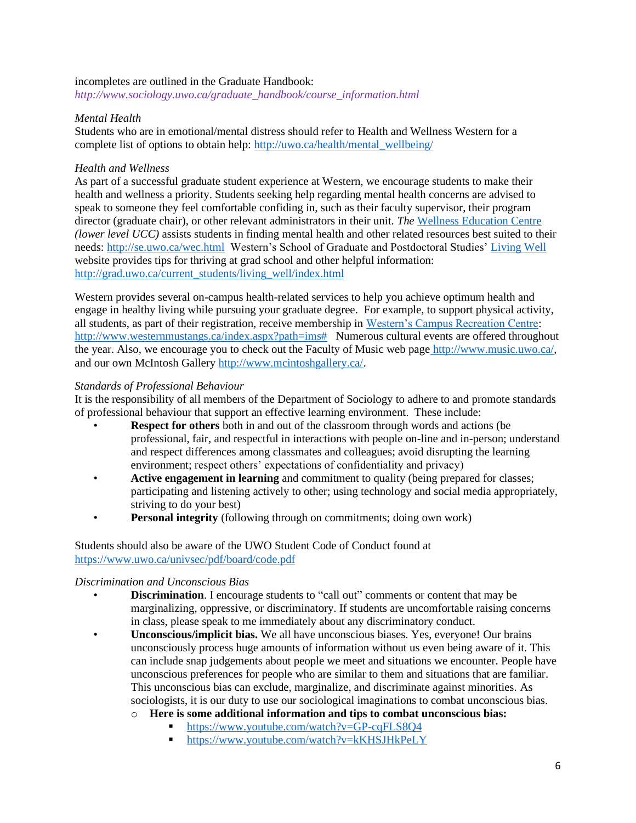#### incompletes are outlined in the Graduate Handbook:

*[http://www.sociology.uwo.ca/graduate\\_handbook/course\\_information.html](http://www.sociology.uwo.ca/graduate_handbook/course_information.html)*

# *Mental Health*

Students who are in emotional/mental distress should refer to Health and Wellness Western for a complete list of options to obtain help: [http://uwo.ca/health/mental\\_wellbeing/](http://uwo.ca/health/mental_wellbeing/)

#### *Health and Wellness*

As part of a successful graduate student experience at Western, we encourage students to make their health and wellness a priority. Students seeking help regarding mental health concerns are advised to speak to someone they feel comfortable confiding in, such as their faculty supervisor, their program director (graduate chair), or other relevant administrators in their unit. *The* [Wellness Education Centre](http://se.uwo.ca/wec.html) *(lower level UCC)* assists students in finding mental health and other related resources best suited to their needs:<http://se.uwo.ca/wec.html>Western's School of Graduate and Postdoctoral Studies' [Living Well](http://grad.uwo.ca/current_students/living_well/index.html) website provides tips for thriving at grad school and other helpful information: [http://grad.uwo.ca/current\\_students/living\\_well/index.html](http://grad.uwo.ca/current_students/living_well/index.html)

Western provides several on-campus health-related services to help you achieve optimum health and engage in healthy living while pursuing your graduate degree. For example, to support physical activity, all students, as part of their registration, receive membership in [Western's Campus Recreation Centre:](http://www.westernmustangs.ca/index.aspx?path=ims) [http://www.westernmustangs.ca/index.aspx?path=ims#](http://www.westernmustangs.ca/index.aspx?path=ims%23) Numerous cultural events are offered throughout the year. Also, we encourage you to check out the Faculty of Music web page [http://www.music.uwo.ca/,](http://www.music.uwo.ca/) and our own McIntosh Gallery [http://www.mcintoshgallery.ca/.](http://www.mcintoshgallery.ca/)

#### *Standards of Professional Behaviour*

It is the responsibility of all members of the Department of Sociology to adhere to and promote standards of professional behaviour that support an effective learning environment. These include:

- **Respect for others** both in and out of the classroom through words and actions (be professional, fair, and respectful in interactions with people on-line and in-person; understand and respect differences among classmates and colleagues; avoid disrupting the learning environment; respect others' expectations of confidentiality and privacy)
- **Active engagement in learning** and commitment to quality (being prepared for classes; participating and listening actively to other; using technology and social media appropriately, striving to do your best)
- **Personal integrity** (following through on commitments; doing own work)

# Students should also be aware of the UWO Student Code of Conduct found at <https://www.uwo.ca/univsec/pdf/board/code.pdf>

# *Discrimination and Unconscious Bias*

- **Discrimination**. I encourage students to "call out" comments or content that may be marginalizing, oppressive, or discriminatory. If students are uncomfortable raising concerns in class, please speak to me immediately about any discriminatory conduct.
- **Unconscious/implicit bias.** We all have unconscious biases. Yes, everyone! Our brains unconsciously process huge amounts of information without us even being aware of it. This can include snap judgements about people we meet and situations we encounter. People have unconscious preferences for people who are similar to them and situations that are familiar. This unconscious bias can exclude, marginalize, and discriminate against minorities. As sociologists, it is our duty to use our sociological imaginations to combat unconscious bias.
	- o **Here is some additional information and tips to combat unconscious bias:**
		- <https://www.youtube.com/watch?v=GP-cqFLS8Q4>
		- <https://www.youtube.com/watch?v=kKHSJHkPeLY>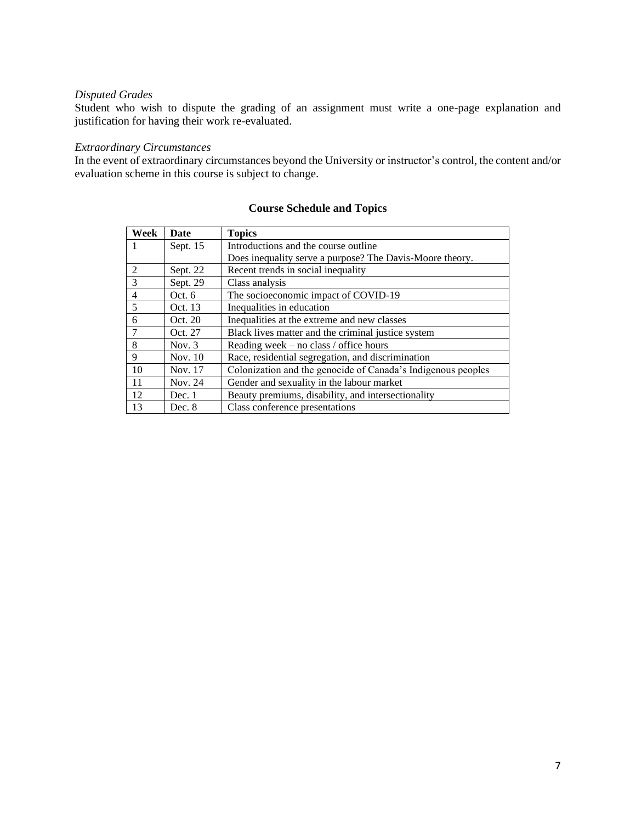# *Disputed Grades*

Student who wish to dispute the grading of an assignment must write a one-page explanation and justification for having their work re-evaluated.

# *Extraordinary Circumstances*

In the event of extraordinary circumstances beyond the University or instructor's control, the content and/or evaluation scheme in this course is subject to change.

| Week           | Date      | <b>Topics</b>                                                |
|----------------|-----------|--------------------------------------------------------------|
|                | Sept. 15  | Introductions and the course outline.                        |
|                |           | Does inequality serve a purpose? The Davis-Moore theory.     |
| 2              | Sept. 22  | Recent trends in social inequality                           |
| $\mathcal{R}$  | Sept. 29  | Class analysis                                               |
| $\overline{4}$ | Oct. $6$  | The socioeconomic impact of COVID-19                         |
| 5              | Oct. 13   | Inequalities in education                                    |
| 6              | Oct. 20   | Inequalities at the extreme and new classes                  |
| $\overline{7}$ | Oct. 27   | Black lives matter and the criminal justice system           |
| 8              | Nov. $3$  | Reading week – no class / office hours                       |
| 9              | Nov. $10$ | Race, residential segregation, and discrimination            |
| 10             | Nov. 17   | Colonization and the genocide of Canada's Indigenous peoples |
| -11            | Nov. 24   | Gender and sexuality in the labour market                    |
| 12             | Dec. 1    | Beauty premiums, disability, and intersectionality           |
| 13             | Dec. 8    | Class conference presentations                               |

# **Course Schedule and Topics**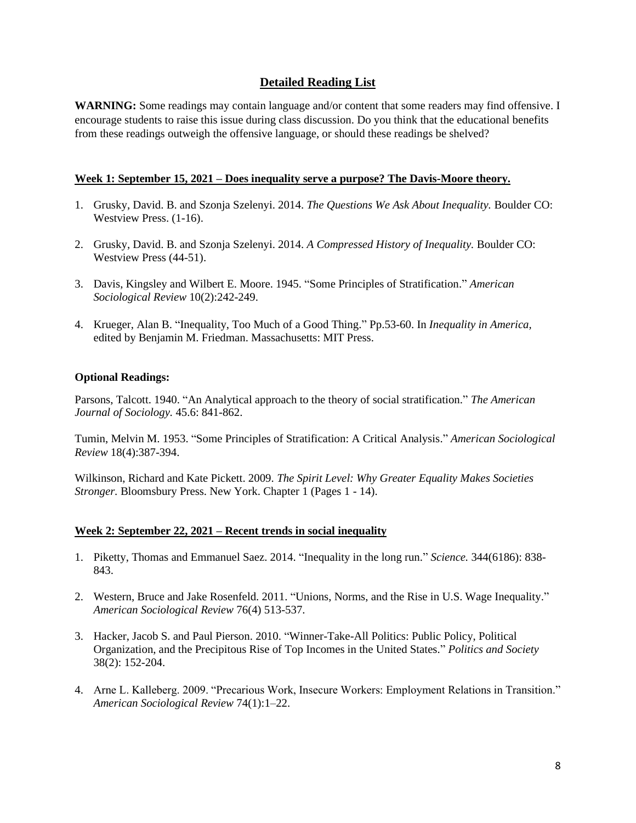# **Detailed Reading List**

WARNING: Some readings may contain language and/or content that some readers may find offensive. I encourage students to raise this issue during class discussion. Do you think that the educational benefits from these readings outweigh the offensive language, or should these readings be shelved?

# **Week 1: September 15, 2021 – Does inequality serve a purpose? The Davis-Moore theory.**

- 1. Grusky, David. B. and Szonja Szelenyi. 2014. *The Questions We Ask About Inequality.* Boulder CO: Westview Press. (1-16).
- 2. Grusky, David. B. and Szonja Szelenyi. 2014. *A Compressed History of Inequality.* Boulder CO: Westview Press (44-51).
- 3. Davis, Kingsley and Wilbert E. Moore. 1945. ["Some Principles of Stratification.](http://www.jstor.org/stable/2085643)" *American Sociological Review* 10(2):242-249.
- 4. Krueger, Alan B. "Inequality, Too Much of a Good Thing." Pp.53-60. In *Inequality in America,*  edited by Benjamin M. Friedman. Massachusetts: MIT Press.

# **Optional Readings:**

Parsons, Talcott. 1940. "An Analytical approach to the theory of social stratification." *The American Journal of Sociology.* 45.6: 841-862.

Tumin, Melvin M. 1953. ["Some Principles of Stratification: A Critical Analysis.](http://www.jstor.org/stable/2087551)" *American Sociological Review* 18(4):387-394.

Wilkinson, Richard and Kate Pickett. 2009. *The Spirit Level: Why Greater Equality Makes Societies Stronger.* Bloomsbury Press. New York. Chapter 1 (Pages 1 - 14).

# **Week 2: September 22, 2021 – Recent trends in social inequality**

- 1. Piketty, Thomas and Emmanuel Saez. 2014. "Inequality in the long run." *Science.* 344(6186): 838- 843.
- 2. Western, Bruce and Jake Rosenfeld. 2011. "Unions, Norms, and the Rise in U.S. Wage Inequality." *American Sociological Review* 76(4) 513-537.
- 3. Hacker, Jacob S. and Paul Pierson. 2010. "Winner-Take-All Politics: Public Policy, Political Organization, and the Precipitous Rise of Top Incomes in the United States." *Politics and Society*  38(2): 152-204.
- 4. Arne L. Kalleberg. 2009. "Precarious Work, Insecure Workers: Employment Relations in Transition." *American Sociological Review* 74(1):1–22.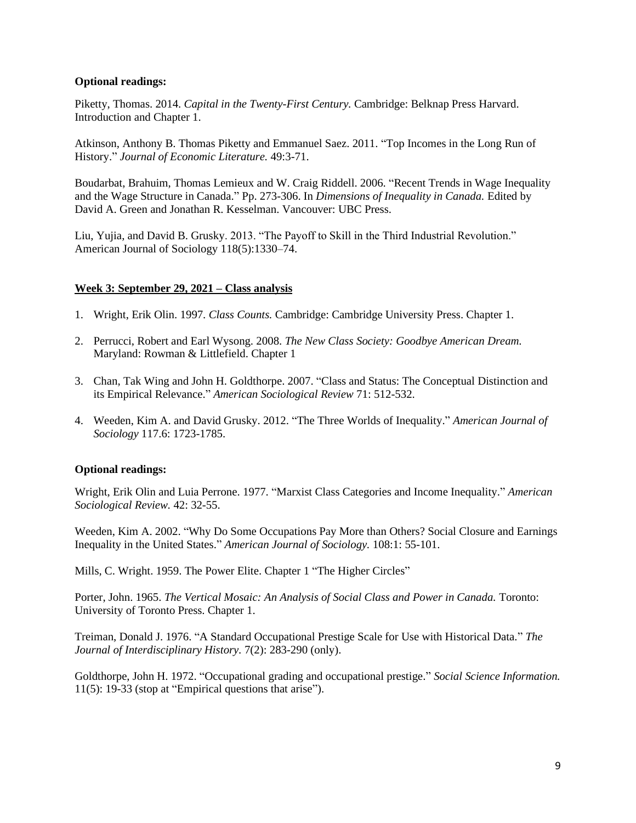# **Optional readings:**

Piketty, Thomas. 2014. *Capital in the Twenty-First Century.* Cambridge: Belknap Press Harvard. Introduction and Chapter 1.

Atkinson, Anthony B. Thomas Piketty and Emmanuel Saez. 2011. "Top Incomes in the Long Run of History." *Journal of Economic Literature.* 49:3-71.

Boudarbat, Brahuim, Thomas Lemieux and W. Craig Riddell. 2006. "Recent Trends in Wage Inequality and the Wage Structure in Canada." Pp. 273-306. In *Dimensions of Inequality in Canada.* Edited by David A. Green and Jonathan R. Kesselman. Vancouver: UBC Press.

Liu, Yujia, and David B. Grusky. 2013. "The Payoff to Skill in the Third Industrial Revolution." American Journal of Sociology 118(5):1330–74.

# **Week 3: September 29, 2021 – Class analysis**

- 1. Wright, Erik Olin. 1997. *Class Counts.* Cambridge: Cambridge University Press. Chapter 1.
- 2. Perrucci, Robert and Earl Wysong. 2008. *The New Class Society: Goodbye American Dream.*  Maryland: Rowman & Littlefield. Chapter 1
- 3. Chan, Tak Wing and John H. Goldthorpe. 2007. "Class and Status: The Conceptual Distinction and its Empirical Relevance." *American Sociological Review* 71: 512-532.
- 4. Weeden, Kim A. and David Grusky. 2012. "The Three Worlds of Inequality." *American Journal of Sociology* 117.6: 1723-1785.

#### **Optional readings:**

Wright, Erik Olin and Luia Perrone. 1977. "Marxist Class Categories and Income Inequality." *American Sociological Review.* 42: 32-55.

Weeden, Kim A. 2002. "Why Do Some Occupations Pay More than Others? Social Closure and Earnings Inequality in the United States." *American Journal of Sociology.* 108:1: 55-101.

Mills, C. Wright. 1959. The Power Elite. Chapter 1 "The Higher Circles"

Porter, John. 1965. *The Vertical Mosaic: An Analysis of Social Class and Power in Canada.* Toronto: University of Toronto Press. Chapter 1.

Treiman, Donald J. 1976. "A Standard Occupational Prestige Scale for Use with Historical Data." *The Journal of Interdisciplinary History.* 7(2): 283-290 (only).

Goldthorpe, John H. 1972. "Occupational grading and occupational prestige." *Social Science Information.*  11(5): 19-33 (stop at "Empirical questions that arise").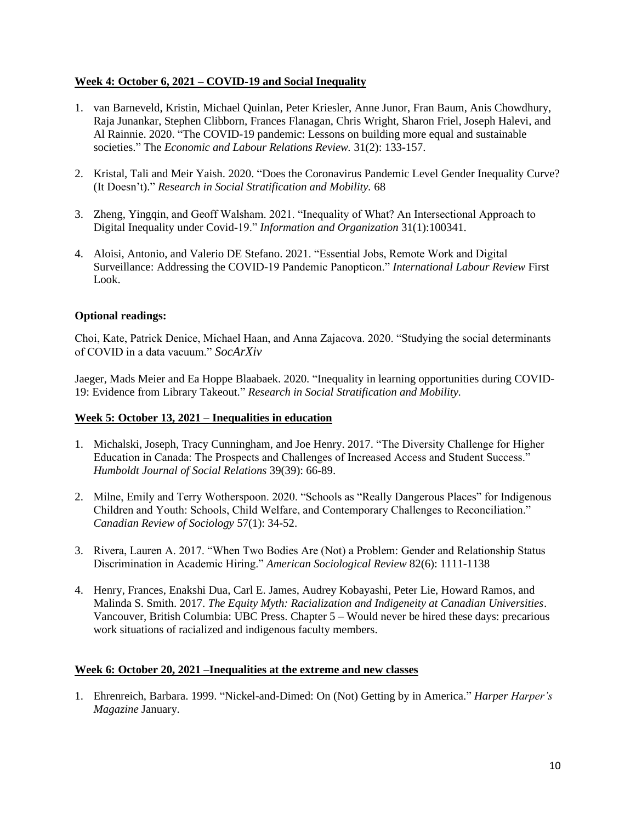# **Week 4: October 6, 2021 – COVID-19 and Social Inequality**

- 1. van Barneveld, Kristin, Michael Quinlan, Peter Kriesler, Anne Junor, Fran Baum, Anis Chowdhury, Raja Junankar, Stephen Clibborn, Frances Flanagan, Chris Wright, Sharon Friel, Joseph Halevi, and Al Rainnie. 2020. "The COVID-19 pandemic: Lessons on building more equal and sustainable societies." The *Economic and Labour Relations Review.* 31(2): 133-157.
- 2. Kristal, Tali and Meir Yaish. 2020. "Does the Coronavirus Pandemic Level Gender Inequality Curve? (It Doesn't)." *Research in Social Stratification and Mobility.* 68
- 3. Zheng, Yingqin, and Geoff Walsham. 2021. "Inequality of What? An Intersectional Approach to Digital Inequality under Covid-19." *Information and Organization* 31(1):100341.
- 4. Aloisi, Antonio, and Valerio DE Stefano. 2021. "Essential Jobs, Remote Work and Digital Surveillance: Addressing the COVID-19 Pandemic Panopticon." *International Labour Review* First Look.

# **Optional readings:**

Choi, Kate, Patrick Denice, Michael Haan, and Anna Zajacova. 2020. "Studying the social determinants of COVID in a data vacuum." *SocArXiv* 

Jaeger, Mads Meier and Ea Hoppe Blaabaek. 2020. "Inequality in learning opportunities during COVID-19: Evidence from Library Takeout." *Research in Social Stratification and Mobility.* 

# **Week 5: October 13, 2021 – Inequalities in education**

- 1. Michalski, Joseph, Tracy Cunningham, and Joe Henry. 2017. "The Diversity Challenge for Higher Education in Canada: The Prospects and Challenges of Increased Access and Student Success." *Humboldt Journal of Social Relations* 39(39): 66-89.
- 2. Milne, Emily and Terry Wotherspoon. 2020. "Schools as "Really Dangerous Places" for Indigenous Children and Youth: Schools, Child Welfare, and Contemporary Challenges to Reconciliation." *Canadian Review of Sociology* 57(1): 34-52.
- 3. Rivera, Lauren A. 2017. "When Two Bodies Are (Not) a Problem: Gender and Relationship Status Discrimination in Academic Hiring." *American Sociological Review* 82(6): 1111-1138
- 4. Henry, Frances, Enakshi Dua, Carl E. James, Audrey Kobayashi, Peter Lie, Howard Ramos, and Malinda S. Smith. 2017. *The Equity Myth: Racialization and Indigeneity at Canadian Universities*. Vancouver, British Columbia: UBC Press. Chapter 5 – Would never be hired these days: precarious work situations of racialized and indigenous faculty members.

# **Week 6: October 20, 2021 –Inequalities at the extreme and new classes**

1. Ehrenreich, Barbara. 1999. "Nickel-and-Dimed: On (Not) Getting by in America." *Harper Harper's Magazine* January.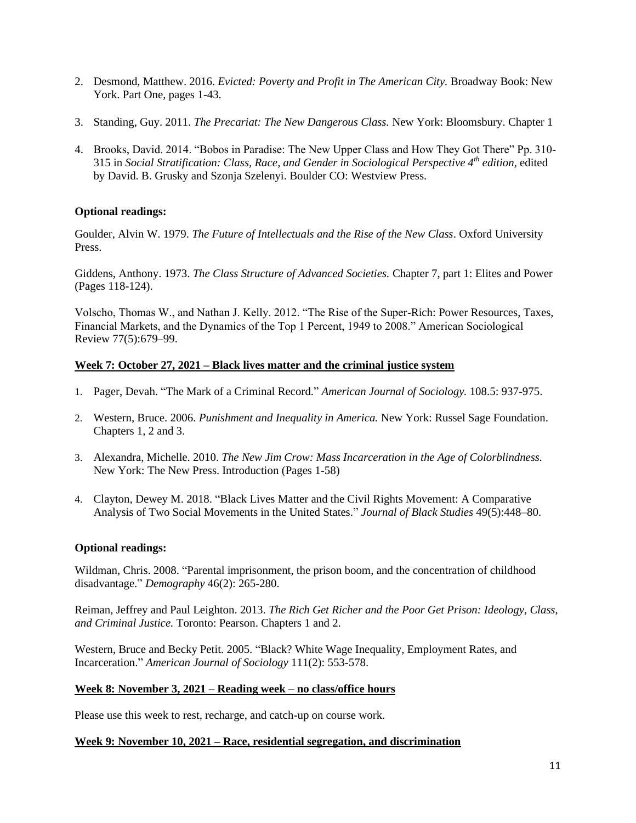- 2. Desmond, Matthew. 2016. *Evicted: Poverty and Profit in The American City.* Broadway Book: New York. Part One, pages 1-43.
- 3. Standing, Guy. 2011. *The Precariat: The New Dangerous Class.* New York: Bloomsbury. Chapter 1
- 4. Brooks, David. 2014. "Bobos in Paradise: The New Upper Class and How They Got There" Pp. 310- 315 in *Social Stratification: Class, Race, and Gender in Sociological Perspective 4th edition,* edited by David. B. Grusky and Szonja Szelenyi. Boulder CO: Westview Press.

# **Optional readings:**

Goulder, Alvin W. 1979. *The Future of Intellectuals and the Rise of the New Class*. Oxford University Press.

Giddens, Anthony. 1973. *The Class Structure of Advanced Societies.* Chapter 7, part 1: Elites and Power (Pages 118-124).

Volscho, Thomas W., and Nathan J. Kelly. 2012. "The Rise of the Super-Rich: Power Resources, Taxes, Financial Markets, and the Dynamics of the Top 1 Percent, 1949 to 2008." American Sociological Review 77(5):679–99.

# **Week 7: October 27, 2021 – Black lives matter and the criminal justice system**

- 1. Pager, Devah. "The Mark of a Criminal Record." *American Journal of Sociology.* 108.5: 937-975.
- 2. Western, Bruce. 2006. *Punishment and Inequality in America.* New York: Russel Sage Foundation. Chapters 1, 2 and 3.
- 3. Alexandra, Michelle. 2010. *The New Jim Crow: Mass Incarceration in the Age of Colorblindness.*  New York: The New Press. Introduction (Pages 1-58)
- 4. Clayton, Dewey M. 2018. "Black Lives Matter and the Civil Rights Movement: A Comparative Analysis of Two Social Movements in the United States." *Journal of Black Studies* 49(5):448–80.

# **Optional readings:**

Wildman, Chris. 2008. "Parental imprisonment, the prison boom, and the concentration of childhood disadvantage." *Demography* 46(2): 265-280.

Reiman, Jeffrey and Paul Leighton. 2013. *The Rich Get Richer and the Poor Get Prison: Ideology, Class, and Criminal Justice.* Toronto: Pearson. Chapters 1 and 2.

Western, Bruce and Becky Petit. 2005. "Black? White Wage Inequality, Employment Rates, and Incarceration." *American Journal of Sociology* 111(2): 553-578.

# **Week 8: November 3, 2021 – Reading week – no class/office hours**

Please use this week to rest, recharge, and catch-up on course work.

#### **Week 9: November 10, 2021 – Race, residential segregation, and discrimination**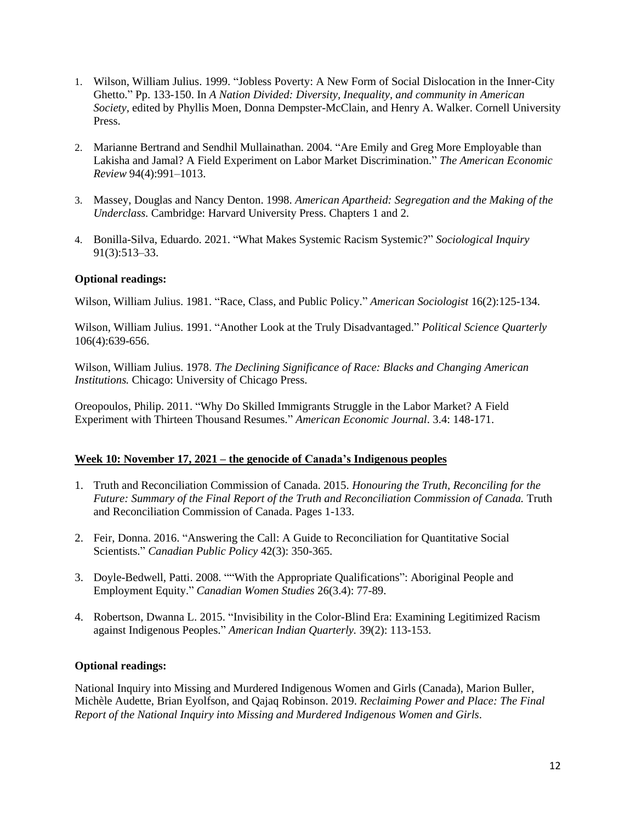- 1. Wilson, William Julius. 1999. "Jobless Poverty: A New Form of Social Dislocation in the Inner-City Ghetto." Pp. 133-150. In *A Nation Divided: Diversity, Inequality, and community in American Society,* edited by Phyllis Moen, Donna Dempster-McClain, and Henry A. Walker. Cornell University Press.
- 2. Marianne Bertrand and Sendhil Mullainathan. 2004. "Are Emily and Greg More Employable than Lakisha and Jamal? A Field Experiment on Labor Market Discrimination." *The American Economic Review* 94(4):991–1013.
- 3. Massey, Douglas and Nancy Denton. 1998. *American Apartheid: Segregation and the Making of the Underclass.* Cambridge: Harvard University Press. Chapters 1 and 2.
- 4. Bonilla-Silva, Eduardo. 2021. "What Makes Systemic Racism Systemic?" *Sociological Inquiry* 91(3):513–33.

# **Optional readings:**

Wilson, William Julius. 1981. "Race, Class, and Public Policy." *American Sociologist* 16(2):125-134.

Wilson, William Julius. 1991. "Another Look at the Truly Disadvantaged." *Political Science Quarterly* 106(4):639-656.

Wilson, William Julius. 1978. *The Declining Significance of Race: Blacks and Changing American Institutions.* Chicago: University of Chicago Press.

Oreopoulos, Philip. 2011. "Why Do Skilled Immigrants Struggle in the Labor Market? A Field Experiment with Thirteen Thousand Resumes." *American Economic Journal*. 3.4: 148-171.

# **Week 10: November 17, 2021 – the genocide of Canada's Indigenous peoples**

- 1. Truth and Reconciliation Commission of Canada. 2015. *Honouring the Truth, Reconciling for the Future: Summary of the Final Report of the Truth and Reconciliation Commission of Canada.* Truth and Reconciliation Commission of Canada. Pages 1-133.
- 2. Feir, Donna. 2016. "Answering the Call: A Guide to Reconciliation for Quantitative Social Scientists." *Canadian Public Policy* 42(3): 350-365.
- 3. Doyle-Bedwell, Patti. 2008. ""With the Appropriate Qualifications": Aboriginal People and Employment Equity." *Canadian Women Studies* 26(3.4): 77-89.
- 4. Robertson, Dwanna L. 2015. "Invisibility in the Color-Blind Era: Examining Legitimized Racism against Indigenous Peoples." *American Indian Quarterly.* 39(2): 113-153.

# **Optional readings:**

National Inquiry into Missing and Murdered Indigenous Women and Girls (Canada), Marion Buller, Michèle Audette, Brian Eyolfson, and Qajaq Robinson. 2019. *Reclaiming Power and Place: The Final Report of the National Inquiry into Missing and Murdered Indigenous Women and Girls*.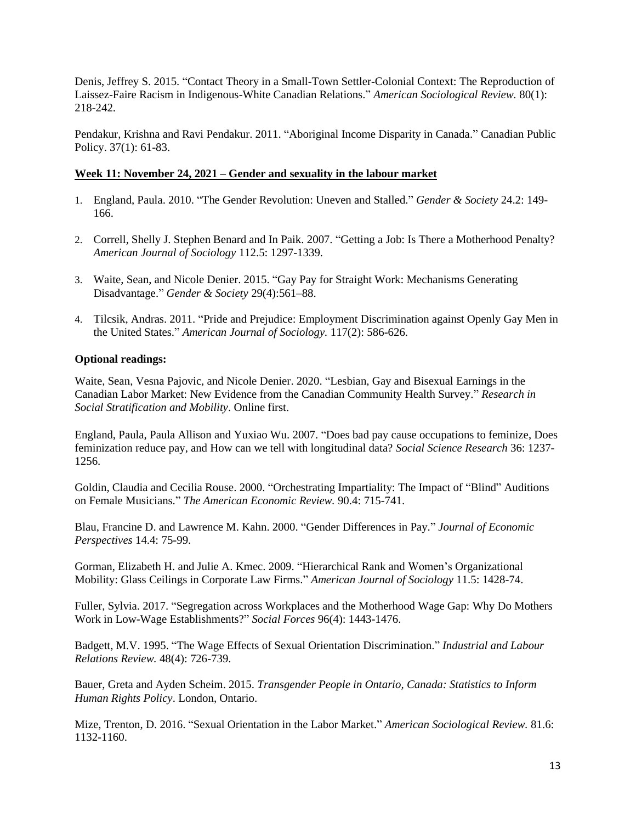Denis, Jeffrey S. 2015. "Contact Theory in a Small-Town Settler-Colonial Context: The Reproduction of Laissez-Faire Racism in Indigenous-White Canadian Relations." *American Sociological Review.* 80(1): 218-242.

Pendakur, Krishna and Ravi Pendakur. 2011. "Aboriginal Income Disparity in Canada." Canadian Public Policy. 37(1): 61-83.

#### **Week 11: November 24, 2021 – Gender and sexuality in the labour market**

- 1. England, Paula. 2010. "The Gender Revolution: Uneven and Stalled." *Gender & Society* 24.2: 149- 166.
- 2. Correll, Shelly J. Stephen Benard and In Paik. 2007. "Getting a Job: Is There a Motherhood Penalty? *American Journal of Sociology* 112.5: 1297-1339.
- 3. Waite, Sean, and Nicole Denier. 2015. "Gay Pay for Straight Work: Mechanisms Generating Disadvantage." *Gender & Society* 29(4):561–88.
- 4. Tilcsik, Andras. 2011. "Pride and Prejudice: Employment Discrimination against Openly Gay Men in the United States." *American Journal of Sociology.* 117(2): 586-626.

#### **Optional readings:**

Waite, Sean, Vesna Pajovic, and Nicole Denier. 2020. "Lesbian, Gay and Bisexual Earnings in the Canadian Labor Market: New Evidence from the Canadian Community Health Survey." *Research in Social Stratification and Mobility*. Online first.

England, Paula, Paula Allison and Yuxiao Wu. 2007. "Does bad pay cause occupations to feminize, Does feminization reduce pay, and How can we tell with longitudinal data? *Social Science Research* 36: 1237- 1256.

Goldin, Claudia and Cecilia Rouse. 2000. "Orchestrating Impartiality: The Impact of "Blind" Auditions on Female Musicians." *The American Economic Review.* 90.4: 715-741.

Blau, Francine D. and Lawrence M. Kahn. 2000. "Gender Differences in Pay." *Journal of Economic Perspectives* 14.4: 75-99.

Gorman, Elizabeth H. and Julie A. Kmec. 2009. "Hierarchical Rank and Women's Organizational Mobility: Glass Ceilings in Corporate Law Firms." *American Journal of Sociology* 11.5: 1428-74.

Fuller, Sylvia. 2017. "Segregation across Workplaces and the Motherhood Wage Gap: Why Do Mothers Work in Low-Wage Establishments?" *Social Forces* 96(4): 1443-1476.

Badgett, M.V. 1995. "The Wage Effects of Sexual Orientation Discrimination." *Industrial and Labour Relations Review.* 48(4): 726-739.

Bauer, Greta and Ayden Scheim. 2015. *Transgender People in Ontario, Canada: Statistics to Inform Human Rights Policy*. London, Ontario.

Mize, Trenton, D. 2016. "Sexual Orientation in the Labor Market." *American Sociological Review.* 81.6: 1132-1160.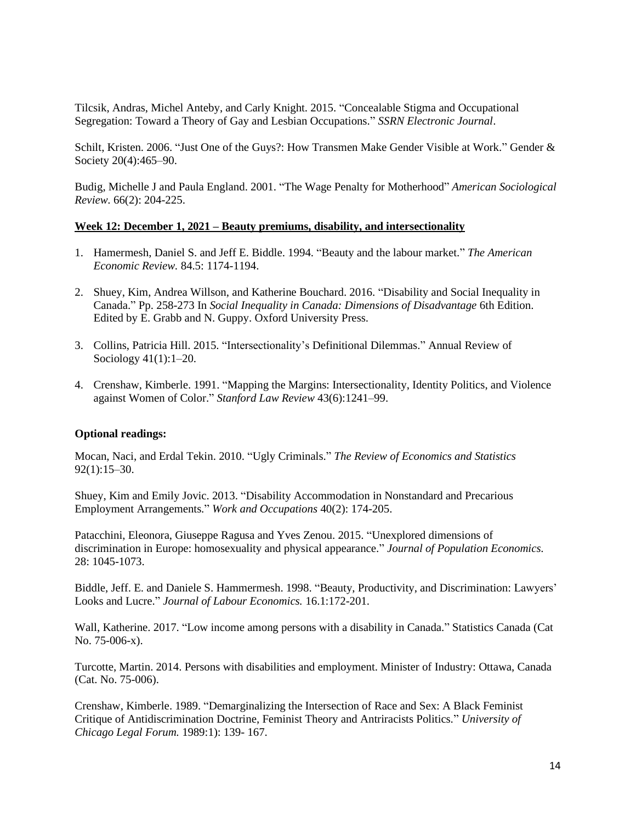Tilcsik, Andras, Michel Anteby, and Carly Knight. 2015. "Concealable Stigma and Occupational Segregation: Toward a Theory of Gay and Lesbian Occupations." *SSRN Electronic Journal*.

Schilt, Kristen. 2006. "Just One of the Guys?: How Transmen Make Gender Visible at Work." Gender & Society 20(4):465–90.

Budig, Michelle J and Paula England. 2001. "The Wage Penalty for Motherhood" *American Sociological Review.* 66(2): 204-225.

#### **Week 12: December 1, 2021 – Beauty premiums, disability, and intersectionality**

- 1. Hamermesh, Daniel S. and Jeff E. Biddle. 1994. "Beauty and the labour market." *The American Economic Review.* 84.5: 1174-1194.
- 2. Shuey, Kim, Andrea Willson, and Katherine Bouchard. 2016. "Disability and Social Inequality in Canada." Pp. 258-273 In *Social Inequality in Canada: Dimensions of Disadvantage* 6th Edition. Edited by E. Grabb and N. Guppy. Oxford University Press.
- 3. Collins, Patricia Hill. 2015. "Intersectionality's Definitional Dilemmas." Annual Review of Sociology 41(1):1–20.
- 4. Crenshaw, Kimberle. 1991. "Mapping the Margins: Intersectionality, Identity Politics, and Violence against Women of Color." *Stanford Law Review* 43(6):1241–99.

#### **Optional readings:**

Mocan, Naci, and Erdal Tekin. 2010. "Ugly Criminals." *The Review of Economics and Statistics* 92(1):15–30.

Shuey, Kim and Emily Jovic. 2013. "Disability Accommodation in Nonstandard and Precarious Employment Arrangements." *Work and Occupations* 40(2): 174-205.

Patacchini, Eleonora, Giuseppe Ragusa and Yves Zenou. 2015. "Unexplored dimensions of discrimination in Europe: homosexuality and physical appearance." *Journal of Population Economics.*  28: 1045-1073.

Biddle, Jeff. E. and Daniele S. Hammermesh. 1998. "Beauty, Productivity, and Discrimination: Lawyers' Looks and Lucre." *Journal of Labour Economics.* 16.1:172-201.

Wall, Katherine. 2017. "Low income among persons with a disability in Canada." Statistics Canada (Cat No. 75-006-x).

Turcotte, Martin. 2014. Persons with disabilities and employment. Minister of Industry: Ottawa, Canada (Cat. No. 75-006).

Crenshaw, Kimberle. 1989. "Demarginalizing the Intersection of Race and Sex: A Black Feminist Critique of Antidiscrimination Doctrine, Feminist Theory and Antriracists Politics." *University of Chicago Legal Forum.* 1989:1): 139- 167.